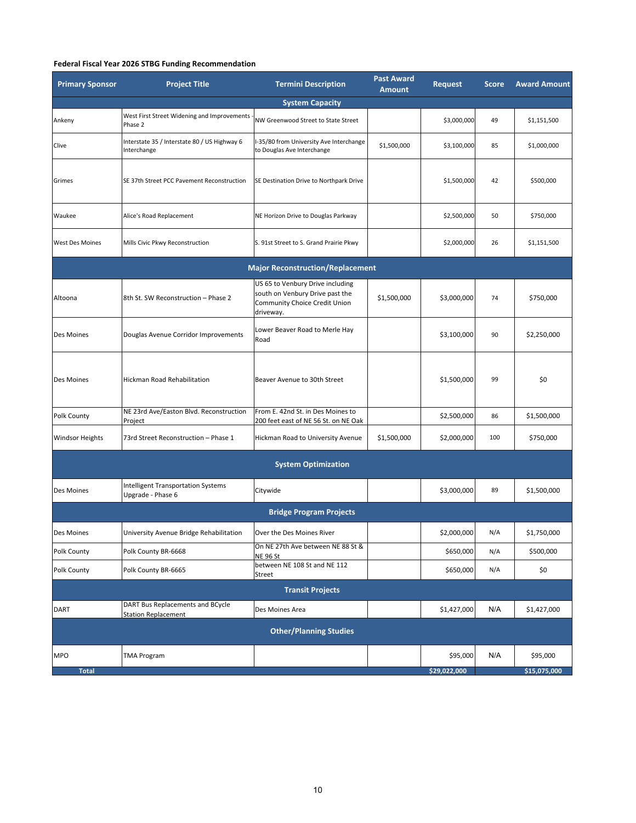## **Federal Fiscal Year 2026 STBG Funding Recommendation**

| <b>Primary Sponsor</b>                  | <b>Project Title</b>                                           | <b>Termini Description</b>                                                                                        | <b>Past Award</b><br><b>Amount</b> | Request      | <b>Score</b> | <b>Award Amount</b> |  |  |  |  |
|-----------------------------------------|----------------------------------------------------------------|-------------------------------------------------------------------------------------------------------------------|------------------------------------|--------------|--------------|---------------------|--|--|--|--|
| <b>System Capacity</b>                  |                                                                |                                                                                                                   |                                    |              |              |                     |  |  |  |  |
| Ankeny                                  | West First Street Widening and Improvements<br>Phase 2         | NW Greenwood Street to State Street                                                                               |                                    | \$3,000,000  | 49           | \$1,151,500         |  |  |  |  |
| Clive                                   | Interstate 35 / Interstate 80 / US Highway 6<br>Interchange    | I-35/80 from University Ave Interchange<br>to Douglas Ave Interchange                                             | \$1,500,000                        | \$3,100,000  | 85           | \$1,000,000         |  |  |  |  |
| Grimes                                  | SE 37th Street PCC Pavement Reconstruction                     | SE Destination Drive to Northpark Drive                                                                           |                                    | \$1,500,000  | 42           | \$500,000           |  |  |  |  |
| Waukee                                  | Alice's Road Replacement                                       | NE Horizon Drive to Douglas Parkway                                                                               |                                    | \$2,500,000  | 50           | \$750,000           |  |  |  |  |
| <b>West Des Moines</b>                  | Mills Civic Pkwy Reconstruction                                | S. 91st Street to S. Grand Prairie Pkwy                                                                           |                                    | \$2,000,000  | 26           | \$1,151,500         |  |  |  |  |
| <b>Major Reconstruction/Replacement</b> |                                                                |                                                                                                                   |                                    |              |              |                     |  |  |  |  |
| Altoona                                 | 8th St. SW Reconstruction - Phase 2                            | US 65 to Venbury Drive including<br>south on Venbury Drive past the<br>Community Choice Credit Union<br>driveway. | \$1,500,000                        | \$3,000,000  | 74           | \$750,000           |  |  |  |  |
| Des Moines                              | Douglas Avenue Corridor Improvements                           | Lower Beaver Road to Merle Hay<br>Road                                                                            |                                    | \$3,100,000  | 90           | \$2,250,000         |  |  |  |  |
| Des Moines                              | Hickman Road Rehabilitation                                    | Beaver Avenue to 30th Street                                                                                      |                                    | \$1,500,000  | 99           | \$0                 |  |  |  |  |
| Polk County                             | NE 23rd Ave/Easton Blvd. Reconstruction<br>Project             | From E. 42nd St. in Des Moines to<br>200 feet east of NE 56 St. on NE Oak                                         |                                    | \$2,500,000  | 86           | \$1,500,000         |  |  |  |  |
| <b>Windsor Heights</b>                  | 73rd Street Reconstruction - Phase 1                           | Hickman Road to University Avenue                                                                                 | \$1,500,000                        | \$2,000,000  | 100          | \$750,000           |  |  |  |  |
| <b>System Optimization</b>              |                                                                |                                                                                                                   |                                    |              |              |                     |  |  |  |  |
| Des Moines                              | <b>Intelligent Transportation Systems</b><br>Upgrade - Phase 6 | Citywide                                                                                                          |                                    | \$3,000,000  | 89           | \$1,500,000         |  |  |  |  |
| <b>Bridge Program Projects</b>          |                                                                |                                                                                                                   |                                    |              |              |                     |  |  |  |  |
| Des Moines                              | University Avenue Bridge Rehabilitation                        | Over the Des Moines River                                                                                         |                                    | \$2,000,000  | N/A          | \$1,750,000         |  |  |  |  |
| Polk County                             | Polk County BR-6668                                            | On NE 27th Ave between NE 88 St &<br><b>NE 96 St</b>                                                              |                                    | \$650,000    | N/A          | \$500,000           |  |  |  |  |
| Polk County                             | Polk County BR-6665                                            | between NE 108 St and NE 112<br>Street                                                                            |                                    | \$650,000    | N/A          | \$0                 |  |  |  |  |
| <b>Transit Projects</b>                 |                                                                |                                                                                                                   |                                    |              |              |                     |  |  |  |  |
| <b>DART</b>                             | DART Bus Replacements and BCycle<br><b>Station Replacement</b> | Des Moines Area                                                                                                   |                                    | \$1,427,000  | N/A          | \$1,427,000         |  |  |  |  |
| <b>Other/Planning Studies</b>           |                                                                |                                                                                                                   |                                    |              |              |                     |  |  |  |  |
| <b>MPO</b>                              | <b>TMA Program</b>                                             |                                                                                                                   |                                    | \$95,000     | N/A          | \$95,000            |  |  |  |  |
| <b>Total</b>                            |                                                                |                                                                                                                   |                                    | \$29,022,000 |              | \$15,075,000        |  |  |  |  |